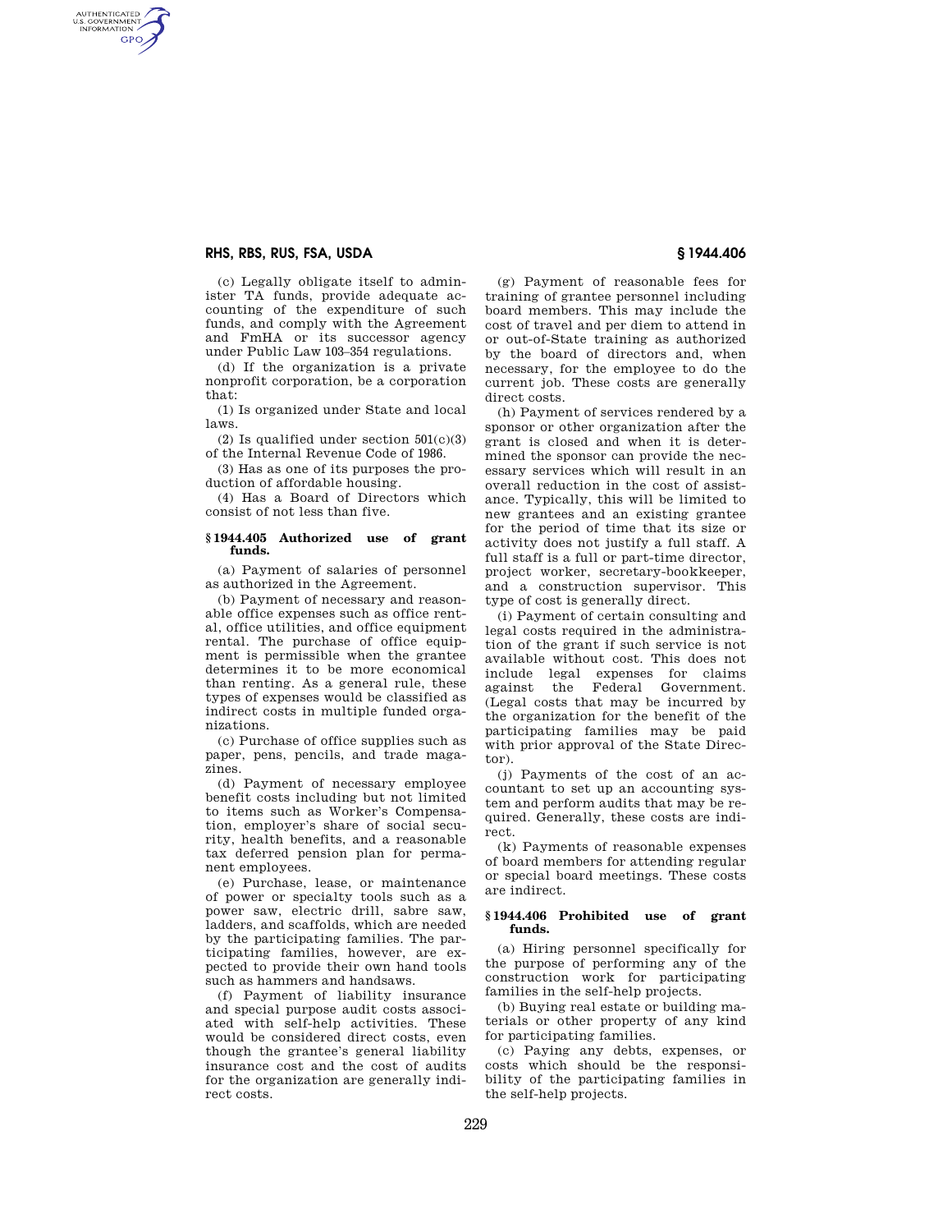# **RHS, RBS, RUS, FSA, USDA § 1944.406**

AUTHENTICATED<br>U.S. GOVERNMENT<br>INFORMATION **GPO** 

> (c) Legally obligate itself to administer TA funds, provide adequate accounting of the expenditure of such funds, and comply with the Agreement and FmHA or its successor agency under Public Law 103–354 regulations.

> (d) If the organization is a private nonprofit corporation, be a corporation that:

> (1) Is organized under State and local laws.

> (2) Is qualified under section  $501(c)(3)$ of the Internal Revenue Code of 1986.

(3) Has as one of its purposes the production of affordable housing.

(4) Has a Board of Directors which consist of not less than five.

#### **§ 1944.405 Authorized use of grant funds.**

(a) Payment of salaries of personnel as authorized in the Agreement.

(b) Payment of necessary and reasonable office expenses such as office rental, office utilities, and office equipment rental. The purchase of office equipment is permissible when the grantee determines it to be more economical than renting. As a general rule, these types of expenses would be classified as indirect costs in multiple funded organizations.

(c) Purchase of office supplies such as paper, pens, pencils, and trade magazines.

(d) Payment of necessary employee benefit costs including but not limited to items such as Worker's Compensation, employer's share of social security, health benefits, and a reasonable tax deferred pension plan for permanent employees.

(e) Purchase, lease, or maintenance of power or specialty tools such as a power saw, electric drill, sabre saw, ladders, and scaffolds, which are needed by the participating families. The participating families, however, are expected to provide their own hand tools such as hammers and handsaws.

(f) Payment of liability insurance and special purpose audit costs associated with self-help activities. These would be considered direct costs, even though the grantee's general liability insurance cost and the cost of audits for the organization are generally indirect costs.

(g) Payment of reasonable fees for training of grantee personnel including board members. This may include the cost of travel and per diem to attend in or out-of-State training as authorized by the board of directors and, when necessary, for the employee to do the current job. These costs are generally direct costs.

(h) Payment of services rendered by a sponsor or other organization after the grant is closed and when it is determined the sponsor can provide the necessary services which will result in an overall reduction in the cost of assistance. Typically, this will be limited to new grantees and an existing grantee for the period of time that its size or activity does not justify a full staff. A full staff is a full or part-time director, project worker, secretary-bookkeeper, and a construction supervisor. This type of cost is generally direct.

(i) Payment of certain consulting and legal costs required in the administration of the grant if such service is not available without cost. This does not include legal expenses for claims against the Federal Government. (Legal costs that may be incurred by the organization for the benefit of the participating families may be paid with prior approval of the State Director).

(j) Payments of the cost of an accountant to set up an accounting system and perform audits that may be required. Generally, these costs are indirect.

(k) Payments of reasonable expenses of board members for attending regular or special board meetings. These costs are indirect.

# **§ 1944.406 Prohibited use of grant funds.**

(a) Hiring personnel specifically for the purpose of performing any of the construction work for participating families in the self-help projects.

(b) Buying real estate or building materials or other property of any kind for participating families.

(c) Paying any debts, expenses, or costs which should be the responsibility of the participating families in the self-help projects.